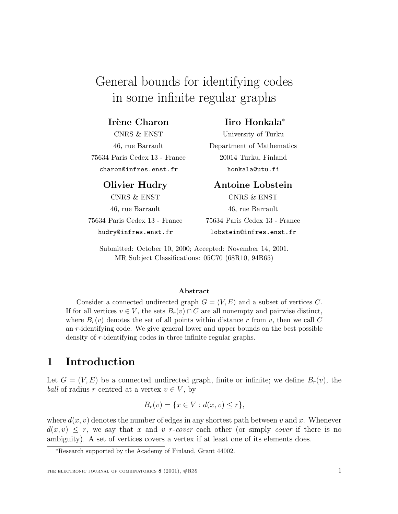# General bounds for identifying codes in some infinite regular graphs

### **Irène Charon**

CNRS & ENST 46, rue Barrault 75634 Paris Cedex 13 - France charon@infres.enst.fr

### **Olivier Hudry**

CNRS & ENST 46, rue Barrault 75634 Paris Cedex 13 - France hudry@infres.enst.fr

### **Iiro Honkala**<sup>∗</sup>

University of Turku Department of Mathematics 20014 Turku, Finland honkala@utu.fi

### **Antoine Lobstein**

CNRS & ENST 46, rue Barrault 75634 Paris Cedex 13 - France lobstein@infres.enst.fr

Submitted: October 10, 2000; Accepted: November 14, 2001. MR Subject Classifications: 05C70 (68R10, 94B65)

#### **Abstract**

Consider a connected undirected graph  $G = (V, E)$  and a subset of vertices C. If for all vertices  $v \in V$ , the sets  $B_r(v) \cap C$  are all nonempty and pairwise distinct, where  $B_r(v)$  denotes the set of all points within distance r from v, then we call C an r-identifying code. We give general lower and upper bounds on the best possible density of r-identifying codes in three infinite regular graphs.

# **1 Introduction**

Let  $G = (V, E)$  be a connected undirected graph, finite or infinite; we define  $B_r(v)$ , the ball of radius r centred at a vertex  $v \in V$ , by

$$
B_r(v) = \{x \in V : d(x, v) \le r\},\
$$

where  $d(x, v)$  denotes the number of edges in any shortest path between v and x. Whenever  $d(x, v) \leq r$ , we say that x and v r-cover each other (or simply cover if there is no ambiguity). A set of vertices covers a vertex if at least one of its elements does.

<sup>∗</sup>Research supported by the Academy of Finland, Grant 44002.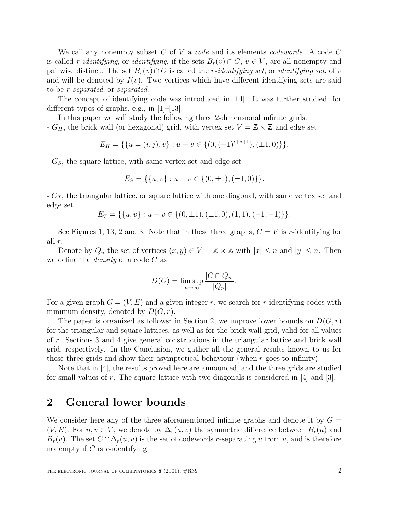We call any nonempty subset C of V a code and its elements codewords. A code C is called r-identifying, or identifying, if the sets  $B_r(v) \cap C$ ,  $v \in V$ , are all nonempty and pairwise distinct. The set  $B_r(v) \cap C$  is called the *r*-identifying set, or identifying set, of v and will be denoted by  $I(v)$ . Two vertices which have different identifying sets are said to be r-separated, or separated.

The concept of identifying code was introduced in [14]. It was further studied, for different types of graphs, e.g., in [1]–[13].

In this paper we will study the following three 2-dimensional infinite grids: -  $G_H$ , the brick wall (or hexagonal) grid, with vertex set  $V = \mathbb{Z} \times \mathbb{Z}$  and edge set

$$
E_H = \{ \{ u = (i, j), v \} : u - v \in \{ (0, (-1)^{i+j+1}), (\pm 1, 0) \} \}.
$$

 $-G<sub>S</sub>$ , the square lattice, with same vertex set and edge set

$$
E_S = \{ \{u, v\} : u - v \in \{ (0, \pm 1), (\pm 1, 0) \} \}.
$$

 $-G_T$ , the triangular lattice, or square lattice with one diagonal, with same vertex set and edge set

$$
E_T = \{ \{u, v\} : u - v \in \{ (0, \pm 1), (\pm 1, 0), (1, 1), (-1, -1) \} \}.
$$

See Figures 1, 13, 2 and 3. Note that in these three graphs,  $C = V$  is r-identifying for all r.

Denote by  $Q_n$  the set of vertices  $(x, y) \in V = \mathbb{Z} \times \mathbb{Z}$  with  $|x| \leq n$  and  $|y| \leq n$ . Then we define the *density* of a code  $C$  as

$$
D(C) = \limsup_{n \to \infty} \frac{|C \cap Q_n|}{|Q_n|}.
$$

For a given graph  $G = (V, E)$  and a given integer r, we search for r-identifying codes with minimum density, denoted by  $D(G, r)$ .

The paper is organized as follows: in Section 2, we improve lower bounds on  $D(G, r)$ for the triangular and square lattices, as well as for the brick wall grid, valid for all values of r. Sections 3 and 4 give general constructions in the triangular lattice and brick wall grid, respectively. In the Conclusion, we gather all the general results known to us for these three grids and show their asymptotical behaviour (when  $r$  goes to infinity).

Note that in [4], the results proved here are announced, and the three grids are studied for small values of r. The square lattice with two diagonals is considered in  $[4]$  and  $[3]$ .

### **2 General lower bounds**

We consider here any of the three aforementioned infinite graphs and denote it by  $G =$  $(V, E)$ . For  $u, v \in V$ , we denote by  $\Delta_r(u, v)$  the symmetric difference between  $B_r(u)$  and  $B_r(v)$ . The set  $C \cap \Delta_r(u, v)$  is the set of codewords r-separating u from v, and is therefore nonempty if  $C$  is r-identifying.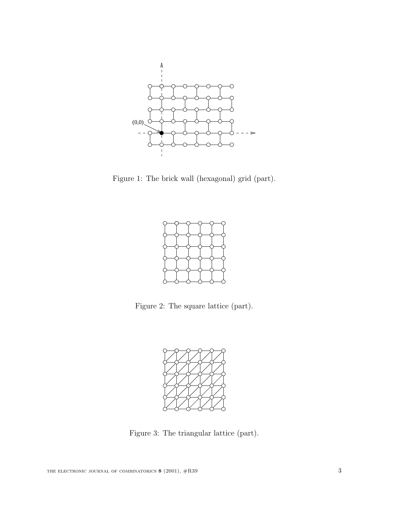

Figure 1: The brick wall (hexagonal) grid (part).



Figure 2: The square lattice (part).



Figure 3: The triangular lattice (part).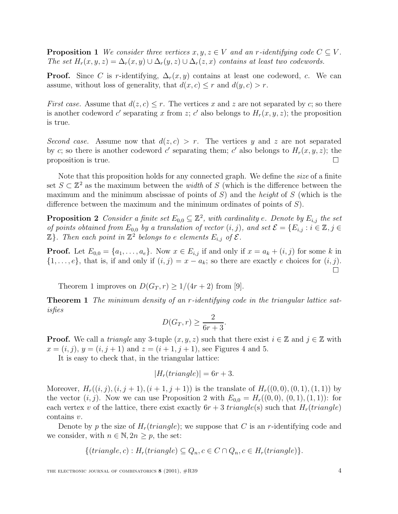**Proposition 1** We consider three vertices  $x, y, z \in V$  and an r-identifying code  $C \subseteq V$ . The set  $H_r(x, y, z) = \Delta_r(x, y) \cup \Delta_r(y, z) \cup \Delta_r(z, x)$  contains at least two codewords.

**Proof.** Since C is r-identifying,  $\Delta_r(x, y)$  contains at least one codeword, c. We can assume, without loss of generality, that  $d(x, c) \leq r$  and  $d(y, c) > r$ .

First case. Assume that  $d(z, c) \leq r$ . The vertices x and z are not separated by c; so there is another codeword c' separating x from z; c' also belongs to  $H_r(x, y, z)$ ; the proposition is true.

Second case. Assume now that  $d(z, c) > r$ . The vertices y and z are not separated by c; so there is another codeword c' separating them; c' also belongs to  $H_r(x, y, z)$ ; the proposition is true.  $\Box$ 

Note that this proposition holds for any connected graph. We define the size of a finite set  $S \subset \mathbb{Z}^2$  as the maximum between the *width* of S (which is the difference between the maximum and the minimum abscissae of points of S) and the *height* of S (which is the difference between the maximum and the minimum ordinates of points of S).

**Proposition 2** Consider a finite set  $E_{0,0} \subseteq \mathbb{Z}^2$ , with cardinality e. Denote by  $E_{i,j}$  the set of points obtained from  $E_{0,0}$  by a translation of vector  $(i, j)$ , and set  $\mathcal{E} = \{E_{i,j} : i \in \mathbb{Z}, j \in \mathbb{Z}\}$  $\mathbb{Z}$ . Then each point in  $\mathbb{Z}^2$  belongs to e elements  $E_{i,j}$  of  $\mathcal{E}$ .

**Proof.** Let  $E_{0,0} = \{a_1, \ldots, a_e\}$ . Now  $x \in E_{i,j}$  if and only if  $x = a_k + (i, j)$  for some k in  $\{1,\ldots,e\}$ , that is, if and only if  $(i,j) = x - a_k$ ; so there are exactly e choices for  $(i,j)$ .

Theorem 1 improves on  $D(G_T, r) \geq 1/(4r+2)$  from [9].

**Theorem 1** The minimum density of an r-identifying code in the triangular lattice satisfies

$$
D(G_T, r) \ge \frac{2}{6r + 3}.
$$

**Proof.** We call a triangle any 3-tuple  $(x, y, z)$  such that there exist  $i \in \mathbb{Z}$  and  $j \in \mathbb{Z}$  with  $x = (i, j), y = (i, j + 1)$  and  $z = (i + 1, j + 1)$ , see Figures 4 and 5.

It is easy to check that, in the triangular lattice:

$$
|H_r(triangle)| = 6r + 3.
$$

Moreover,  $H_r((i, j), (i, j + 1), (i + 1, j + 1))$  is the translate of  $H_r((0, 0), (0, 1), (1, 1))$  by the vector  $(i, j)$ . Now we can use Proposition 2 with  $E_{0,0} = H_r((0, 0), (0, 1), (1, 1))$ : for each vertex v of the lattice, there exist exactly  $6r + 3$  triangle(s) such that  $H_r(triangle)$ contains v.

Denote by p the size of  $H_r(triangle)$ ; we suppose that C is an r-identifying code and we consider, with  $n \in \mathbb{N}, 2n \geq p$ , the set:

$$
\{(triangle, c) : H_r(triangle) \subseteq Q_n, c \in C \cap Q_n, c \in H_r(triangle)\}.
$$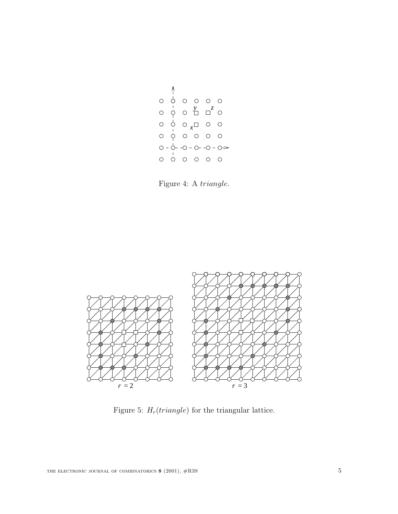$$
\begin{array}{c|cccc}\n & & & & \\
\wedge & & & & & \\
0 & & & & & \\
0 & & & & & \\
0 & & & & & \\
0 & & & & & \\
0 & & & & & \\
0 & & & & & \\
0 & & & & & \\
0 & & & & & \\
0 & & & & & \\
0 & & & & & \\
0 & & & & & \\
0 & & & & & \\
0 & & & & & \\
0 & & & & & \\
0 & & & & & \\
0 & & & & & \\
0 & & & & & \\
0 & & & & & \\
0 & & & & & \\
0 & & & & & \\
0 & & & & & & \\
0 & & & & & & \\
0 & & & & & & \\
0 & & & & & & \\
0 & & & & & & \\
0 & & & & & & \\
0 & & & & & & \\
0 & & & & & & \\
0 & & & & & & & \\
0 & & & & & & & \\
0 & & & & & & & \\
0 & & & & & & & \\
0 & & & & & & & \\
0 & & & & & & & \\
0 & & & & & & & \\
0 & & & & & & & \\
0 & & & & & & & \\
0 & & & &
$$

Figure 4: A triangle.



Figure 5:  $H_r(triangle)$  for the triangular lattice.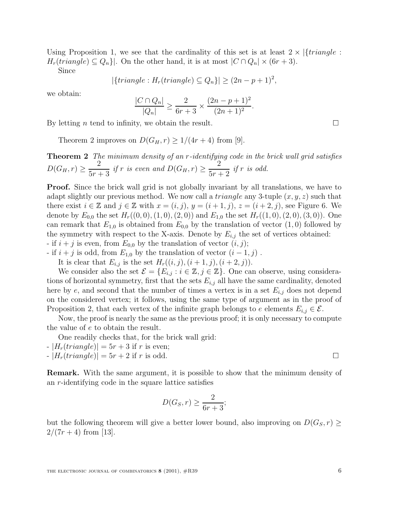Using Proposition 1, we see that the cardinality of this set is at least  $2 \times \{triangle: c$  $H_r(traingle) \subseteq Q_n$ . On the other hand, it is at most  $|C \cap Q_n| \times (6r+3)$ .

Since

$$
|\{triangle: H_r(triangle) \subseteq Q_n\}| \ge (2n - p + 1)^2,
$$

we obtain:

$$
\frac{|C \cap Q_n|}{|Q_n|} \ge \frac{2}{6r+3} \times \frac{(2n-p+1)^2}{(2n+1)^2}.
$$

By letting *n* tend to infinity, we obtain the result.

Theorem 2 improves on  $D(G_H, r) \geq 1/(4r+4)$  from [9].

**Theorem 2** The minimum density of an r-identifying code in the brick wall grid satisfies  $D(G_H, r) \geq$ 2  $\frac{2}{5r+3}$  if r is even and  $D(G_H, r) \ge$ 2  $\frac{2}{5r+2}$  if r is odd.

**Proof.** Since the brick wall grid is not globally invariant by all translations, we have to adapt slightly our previous method. We now call a *triangle* any 3-tuple  $(x, y, z)$  such that there exist  $i \in \mathbb{Z}$  and  $j \in \mathbb{Z}$  with  $x = (i, j)$ ,  $y = (i + 1, j)$ ,  $z = (i + 2, j)$ , see Figure 6. We denote by  $E_{0,0}$  the set  $H_r((0,0),(1,0),(2,0))$  and  $E_{1,0}$  the set  $H_r((1,0),(2,0),(3,0))$ . One can remark that  $E_{1,0}$  is obtained from  $E_{0,0}$  by the translation of vector  $(1,0)$  followed by the symmetry with respect to the X-axis. Denote by  $E_{i,j}$  the set of vertices obtained: - if  $i + j$  is even, from  $E_{0,0}$  by the translation of vector  $(i, j)$ ;

- if  $i + j$  is odd, from  $E_{1,0}$  by the translation of vector  $(i - 1, j)$ .

It is clear that  $E_{i,j}$  is the set  $H_r((i, j), (i + 1, j), (i + 2, j)).$ 

We consider also the set  $\mathcal{E} = \{E_{i,j} : i \in \mathbb{Z}, j \in \mathbb{Z}\}\.$  One can observe, using considerations of horizontal symmetry, first that the sets  $E_{i,j}$  all have the same cardinality, denoted here by e, and second that the number of times a vertex is in a set  $E_{i,j}$  does not depend on the considered vertex; it follows, using the same type of argument as in the proof of Proposition 2, that each vertex of the infinite graph belongs to e elements  $E_{i,j} \in \mathcal{E}$ .

Now, the proof is nearly the same as the previous proof; it is only necessary to compute the value of e to obtain the result.

One readily checks that, for the brick wall grid:

- $-|H_r(trianqle)| = 5r + 3$  if r is even;
- $-|H_r(triangle)| = 5r + 2$  if r is odd.

**Remark.** With the same argument, it is possible to show that the minimum density of an r-identifying code in the square lattice satisfies

$$
D(G_S, r) \ge \frac{2}{6r+3};
$$

but the following theorem will give a better lower bound, also improving on  $D(G_S, r) \geq$  $2/(7r+4)$  from [13].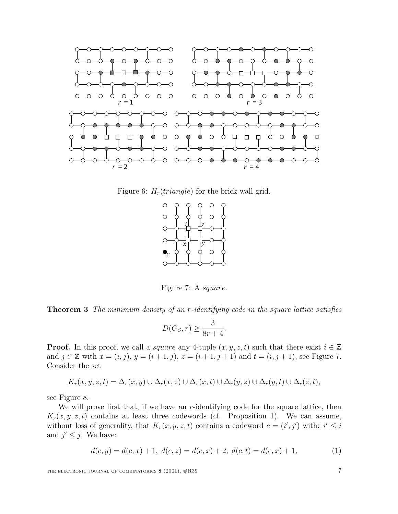

Figure 6:  $H_r(triangle)$  for the brick wall grid.



Figure 7: A square.

**Theorem 3** The minimum density of an r-identifying code in the square lattice satisfies

$$
D(G_S, r) \ge \frac{3}{8r + 4}.
$$

**Proof.** In this proof, we call a *square* any 4-tuple  $(x, y, z, t)$  such that there exist  $i \in \mathbb{Z}$ and  $j \in \mathbb{Z}$  with  $x = (i, j), y = (i + 1, j), z = (i + 1, j + 1)$  and  $t = (i, j + 1)$ , see Figure 7. Consider the set

$$
K_r(x, y, z, t) = \Delta_r(x, y) \cup \Delta_r(x, z) \cup \Delta_r(x, t) \cup \Delta_r(y, z) \cup \Delta_r(y, t) \cup \Delta_r(z, t),
$$

see Figure 8.

We will prove first that, if we have an  $r$ -identifying code for the square lattice, then  $K_r(x, y, z, t)$  contains at least three codewords (cf. Proposition 1). We can assume, without loss of generality, that  $K_r(x, y, z, t)$  contains a codeword  $c = (i', j')$  with:  $i' \leq i$ and  $j' \leq j$ . We have:

$$
d(c, y) = d(c, x) + 1, d(c, z) = d(c, x) + 2, d(c, t) = d(c, x) + 1,
$$
\n(1)

THE ELECTRONIC JOURNAL OF COMBINATORICS **8** (2001),  $\#R39$  7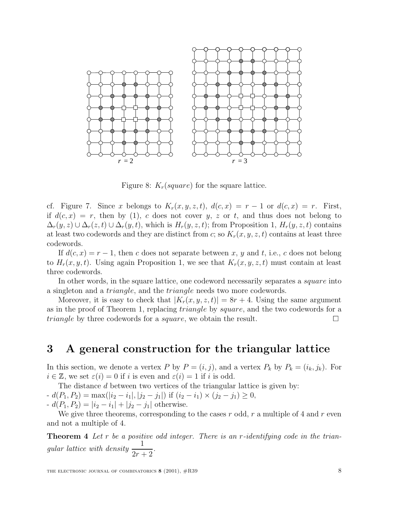

Figure 8:  $K_r(square)$  for the square lattice.

cf. Figure 7. Since x belongs to  $K_r(x, y, z, t)$ ,  $d(c, x) = r - 1$  or  $d(c, x) = r$ . First, if  $d(c, x) = r$ , then by (1), c does not cover y, z or t, and thus does not belong to  $\Delta_r(y, z) \cup \Delta_r(z, t) \cup \Delta_r(y, t)$ , which is  $H_r(y, z, t)$ ; from Proposition 1,  $H_r(y, z, t)$  contains at least two codewords and they are distinct from c; so  $K_r(x, y, z, t)$  contains at least three codewords.

If  $d(c, x) = r - 1$ , then c does not separate between x, y and t, i.e., c does not belong to  $H_r(x, y, t)$ . Using again Proposition 1, we see that  $K_r(x, y, z, t)$  must contain at least three codewords.

In other words, in the square lattice, one codeword necessarily separates a *square* into a singleton and a triangle, and the triangle needs two more codewords.

Moreover, it is easy to check that  $|K_r(x, y, z, t)| = 8r + 4$ . Using the same argument as in the proof of Theorem 1, replacing triangle by square, and the two codewords for a *triangle* by three codewords for a *square*, we obtain the result.  $\square$ 

# **3 A general construction for the triangular lattice**

In this section, we denote a vertex P by  $P = (i, j)$ , and a vertex  $P_k$  by  $P_k = (i_k, j_k)$ . For  $i \in \mathbb{Z}$ , we set  $\varepsilon(i) = 0$  if i is even and  $\varepsilon(i) = 1$  if i is odd.

The distance d between two vertices of the triangular lattice is given by:  $-d(P_1, P_2) = \max(|i_2 - i_1|, |j_2 - j_1|)$  if  $(i_2 - i_1) \times (j_2 - j_1) \geq 0$ ,

-  $d(P_1, P_2) = |i_2 - i_1| + |j_2 - j_1|$  otherwise.

We give three theorems, corresponding to the cases  $r$  odd,  $r$  a multiple of 4 and  $r$  even and not a multiple of 4.

**Theorem 4** Let r be a positive odd integer. There is an r-identifying code in the triangular lattice with density  $\frac{1}{2}$  $\frac{1}{2r+2}$ .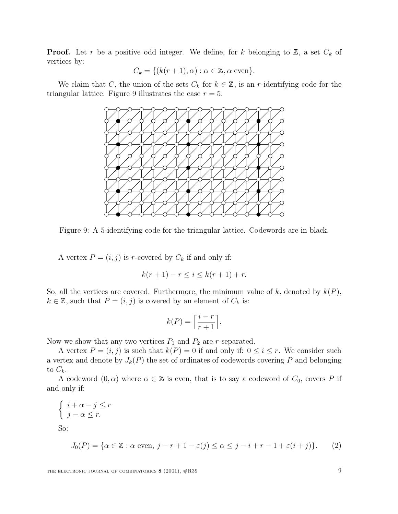**Proof.** Let r be a positive odd integer. We define, for k belonging to  $\mathbb{Z}$ , a set  $C_k$  of vertices by:

$$
C_k = \{ (k(r+1), \alpha) : \alpha \in \mathbb{Z}, \alpha \text{ even} \}.
$$

We claim that C, the union of the sets  $C_k$  for  $k \in \mathbb{Z}$ , is an r-identifying code for the triangular lattice. Figure 9 illustrates the case  $r = 5$ .



Figure 9: A 5-identifying code for the triangular lattice. Codewords are in black.

A vertex  $P = (i, j)$  is r-covered by  $C_k$  if and only if:

$$
k(r + 1) - r \le i \le k(r + 1) + r.
$$

So, all the vertices are covered. Furthermore, the minimum value of  $k$ , denoted by  $k(P)$ ,  $k \in \mathbb{Z}$ , such that  $P = (i, j)$  is covered by an element of  $C_k$  is:

$$
k(P) = \left\lceil \frac{i-r}{r+1} \right\rceil.
$$

Now we show that any two vertices  $P_1$  and  $P_2$  are r-separated.

A vertex  $P = (i, j)$  is such that  $k(P) = 0$  if and only if:  $0 \le i \le r$ . We consider such a vertex and denote by  $J_k(P)$  the set of ordinates of codewords covering P and belonging to  $C_k$ .

A codeword  $(0, \alpha)$  where  $\alpha \in \mathbb{Z}$  is even, that is to say a codeword of  $C_0$ , covers P if and only if:

$$
\begin{cases} i + \alpha - j \le r \\ j - \alpha \le r. \end{cases}
$$

So:

$$
J_0(P) = \{ \alpha \in \mathbb{Z} : \alpha \text{ even, } j - r + 1 - \varepsilon(j) \le \alpha \le j - i + r - 1 + \varepsilon(i + j) \}. \tag{2}
$$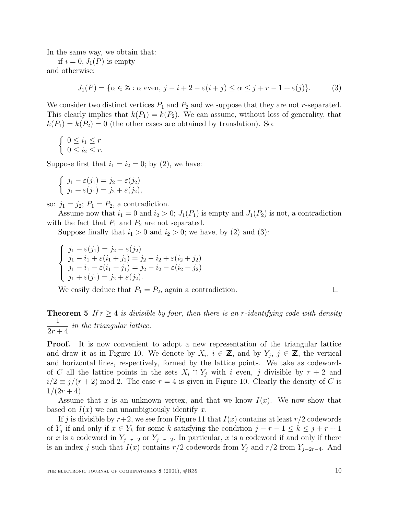In the same way, we obtain that:

if  $i = 0, J_1(P)$  is empty and otherwise:

$$
J_1(P) = \{ \alpha \in \mathbb{Z} : \alpha \text{ even, } j - i + 2 - \varepsilon(i + j) \le \alpha \le j + r - 1 + \varepsilon(j) \}. \tag{3}
$$

We consider two distinct vertices  $P_1$  and  $P_2$  and we suppose that they are not r-separated. This clearly implies that  $k(P_1) = k(P_2)$ . We can assume, without loss of generality, that  $k(P_1) = k(P_2) = 0$  (the other cases are obtained by translation). So:

$$
\begin{cases} 0 \leq i_1 \leq r \\ 0 \leq i_2 \leq r. \end{cases}
$$

Suppose first that  $i_1 = i_2 = 0$ ; by (2), we have:

$$
\begin{cases}\nj_1 - \varepsilon(j_1) = j_2 - \varepsilon(j_2) \\
j_1 + \varepsilon(j_1) = j_2 + \varepsilon(j_2),\n\end{cases}
$$

so:  $j_1 = j_2$ ;  $P_1 = P_2$ , a contradiction.

Assume now that  $i_1 = 0$  and  $i_2 > 0$ ;  $J_1(P_1)$  is empty and  $J_1(P_2)$  is not, a contradiction with the fact that  $P_1$  and  $P_2$  are not separated.

Suppose finally that  $i_1 > 0$  and  $i_2 > 0$ ; we have, by (2) and (3):

$$
\begin{cases}\nj_1 - \varepsilon(j_1) = j_2 - \varepsilon(j_2) \\
j_1 - i_1 + \varepsilon(i_1 + j_1) = j_2 - i_2 + \varepsilon(i_2 + j_2) \\
j_1 - i_1 - \varepsilon(i_1 + j_1) = j_2 - i_2 - \varepsilon(i_2 + j_2) \\
j_1 + \varepsilon(j_1) = j_2 + \varepsilon(j_2).\n\end{cases}
$$

We easily deduce that  $P_1 = P_2$ , again a contradiction.

**Theorem 5** If  $r \geq 4$  is divisible by four, then there is an r-identifying code with density 1  $\frac{1}{2r+4}$  in the triangular lattice.

**Proof.** It is now convenient to adopt a new representation of the triangular lattice and draw it as in Figure 10. We denote by  $X_i$ ,  $i \in \mathbb{Z}$ , and by  $Y_j$ ,  $j \in \mathbb{Z}$ , the vertical and horizontal lines, respectively, formed by the lattice points. We take as codewords of C all the lattice points in the sets  $X_i \cap Y_j$  with i even, j divisible by  $r + 2$  and  $i/2 \equiv j/(r+2) \mod 2$ . The case  $r = 4$  is given in Figure 10. Clearly the density of C is  $1/(2r+4)$ .

Assume that x is an unknown vertex, and that we know  $I(x)$ . We now show that based on  $I(x)$  we can unambiguously identify x.

If j is divisible by  $r+2$ , we see from Figure 11 that  $I(x)$  contains at least  $r/2$  codewords of Y<sub>i</sub> if and only if  $x \in Y_k$  for some k satisfying the condition  $j - r - 1 \leq k \leq j + r + 1$ or x is a codeword in  $Y_{j-r-2}$  or  $Y_{j+r+2}$ . In particular, x is a codeword if and only if there is an index j such that  $I(x)$  contains r/2 codewords from  $Y_j$  and r/2 from  $Y_{j-2r-4}$ . And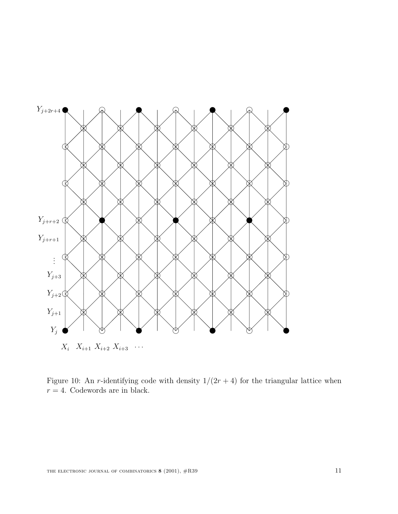

 $X_i$   $X_{i+1}$   $X_{i+2}$   $X_{i+3}$  ...

Figure 10: An r-identifying code with density  $1/(2r+4)$  for the triangular lattice when  $r = 4$ . Codewords are in black.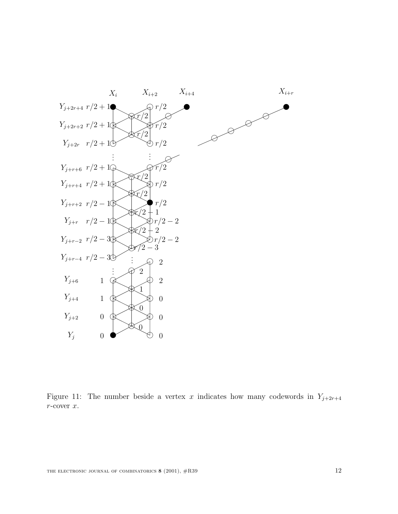

Figure 11: The number beside a vertex x indicates how many codewords in  $Y_{j+2r+4}$  $r\text{-cover}$   $x.$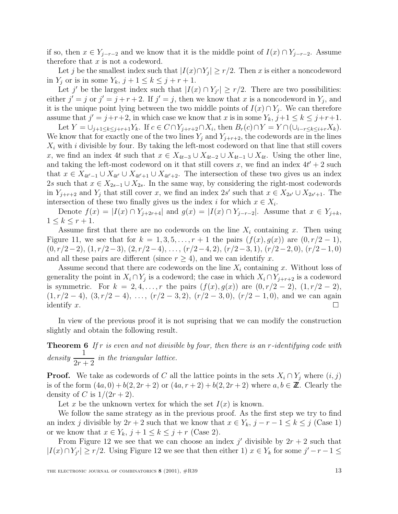if so, then  $x \in Y_{j-r-2}$  and we know that it is the middle point of  $I(x) \cap Y_{j-r-2}$ . Assume therefore that  $x$  is not a codeword.

Let j be the smallest index such that  $|I(x) \cap Y_i| \ge r/2$ . Then x is either a noncodeword in  $Y_j$  or is in some  $Y_k$ ,  $j+1 \leq k \leq j+r+1$ .

Let j' be the largest index such that  $|I(x) \cap Y_{i'}| \ge r/2$ . There are two possibilities: either  $j' = j$  or  $j' = j + r + 2$ . If  $j' = j$ , then we know that x is a noncodeword in  $Y_j$ , and it is the unique point lying between the two middle points of  $I(x) \cap Y_i$ . We can therefore assume that  $j' = j+r+2$ , in which case we know that x is in some  $Y_k$ ,  $j+1 \leq k \leq j+r+1$ .

Let  $Y = \bigcup_{j+1 \leq k \leq j+r+1} Y_k$ . If  $c \in C \cap Y_{j+r+2} \cap X_i$ , then  $B_r(c) \cap Y = Y \cap (\bigcup_{i-r \leq k \leq i+r} X_k)$ . We know that for exactly one of the two lines  $Y_i$  and  $Y_{i+r+2}$ , the codewords are in the lines  $X_i$  with i divisible by four. By taking the left-most codeword on that line that still covers x, we find an index 4t such that  $x \in X_{4t-3} \cup X_{4t-2} \cup X_{4t-1} \cup X_{4t}$ . Using the other line, and taking the left-most codeword on it that still covers x, we find an index  $4t' + 2$  such that  $x \in X_{4t'-1} \cup X_{4t'} \cup X_{4t'+1} \cup X_{4t'+2}$ . The intersection of these two gives us an index 2s such that  $x \in X_{2s-1} \cup X_{2s}$ . In the same way, by considering the right-most codewords in  $Y_{j+r+2}$  and  $Y_j$  that still cover x, we find an index 2s' such that  $x \in X_{2s'} \cup X_{2s'+1}$ . The intersection of these two finally gives us the index i for which  $x \in X_i$ .

Denote  $f(x) = |I(x) \cap Y_{j+2r+4}|$  and  $g(x) = |I(x) \cap Y_{j-r-2}|$ . Assume that  $x \in Y_{j+k}$ ,  $1 \leq k \leq r+1$ .

Assume first that there are no codewords on the line  $X_i$  containing x. Then using Figure 11, we see that for  $k = 1, 3, 5, \ldots, r + 1$  the pairs  $(f(x), g(x))$  are  $(0, r/2 - 1)$ ,  $(0, r/2-2), (1, r/2-3), (2, r/2-4), \ldots, (r/2-4, 2), (r/2-3, 1), (r/2-2, 0), (r/2-1, 0)$ and all these pairs are different (since  $r \geq 4$ ), and we can identify x.

Assume second that there are codewords on the line  $X_i$  containing x. Without loss of generality the point in  $X_i \cap Y_j$  is a codeword; the case in which  $X_i \cap Y_{j+r+2}$  is a codeword is symmetric. For  $k = 2, 4, ..., r$  the pairs  $(f(x), g(x))$  are  $(0, r/2 - 2), (1, r/2 - 2),$  $(1, r/2 - 4), (3, r/2 - 4), \ldots, (r/2 - 3, 2), (r/2 - 3, 0), (r/2 - 1, 0),$  and we can again identify x.

In view of the previous proof it is not suprising that we can modify the construction slightly and obtain the following result.

**Theorem 6** If r is even and not divisible by four, then there is an r-identifying code with  $density \frac{1}{2}$  $\frac{1}{2r+2}$  in the triangular lattice.

**Proof.** We take as codewords of C all the lattice points in the sets  $X_i \cap Y_j$  where  $(i, j)$ is of the form  $(4a, 0) + b(2, 2r + 2)$  or  $(4a, r + 2) + b(2, 2r + 2)$  where  $a, b \in \mathbb{Z}$ . Clearly the density of C is  $1/(2r+2)$ .

Let x be the unknown vertex for which the set  $I(x)$  is known.

We follow the same strategy as in the previous proof. As the first step we try to find an index j divisible by  $2r + 2$  such that we know that  $x \in Y_k$ ,  $j - r - 1 \leq k \leq j$  (Case 1) or we know that  $x \in Y_k$ ,  $j + 1 \leq k \leq j + r$  (Case 2).

From Figure 12 we see that we can choose an index j' divisible by  $2r + 2$  such that  $|I(x) \cap Y_{j'}| \ge r/2$ . Using Figure 12 we see that then either 1)  $x \in Y_k$  for some  $j'-r-1 \le$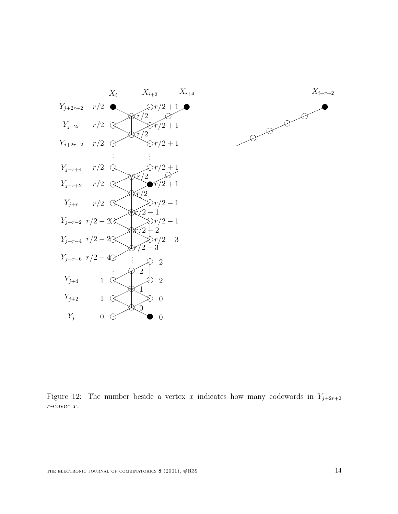



Figure 12: The number beside a vertex x indicates how many codewords in  $Y_{j+2r+2}$  $r\text{-cover}$   $x.$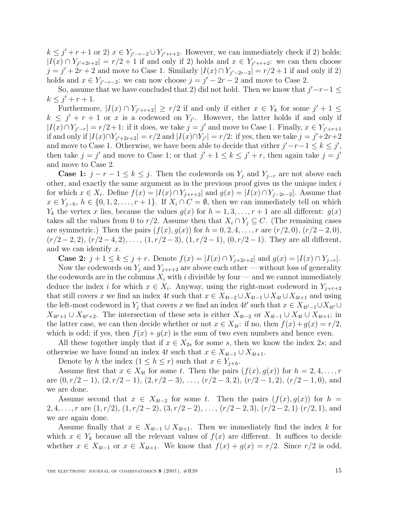$k \leq j' + r + 1$  or 2)  $x \in Y_{j'-r-2} \cup Y_{j'+r+2}$ . However, we can immediately check if 2) holds:  $|I(x) \cap Y_{j'+2r+2}| = r/2 + 1$  if and only if 2) holds and  $x \in Y_{j'+r+2}$ : we can then choose  $j = j' + 2r + 2$  and move to Case 1. Similarly  $|I(x) \cap Y_{j'-2r-2}| = r/2 + 1$  if and only if 2) holds and  $x \in Y_{j'-r-2}$ : we can now choose  $j = j'-2r-2$  and move to Case 2.

So, assume that we have concluded that 2) did not hold. Then we know that  $j'-r-1 \leq$  $k \leq j' + r + 1.$ 

Furthermore,  $|I(x) \cap Y_{j'+r+2}| \geq r/2$  if and only if either  $x \in Y_k$  for some  $j' + 1 \leq$  $k \leq j' + r + 1$  or x is a codeword on  $Y_{j'}$ . However, the latter holds if and only if  $|I(x) \cap Y_{j'-r}| = r/2 + 1$ : if it does, we take  $j = j'$  and move to Case 1. Finally,  $x \in Y_{j'+r+1}$ if and only if  $|I(x) \cap Y_{j'+2r+2}| = r/2$  and  $|I(x) \cap Y_{j'}| = r/2$ : if yes, then we take  $j = j'+2r+2$ and move to Case 1. Otherwise, we have been able to decide that either  $j'-r-1 \leq k \leq j'$ , then take  $j = j'$  and move to Case 1; or that  $j' + 1 \leq k \leq j' + r$ , then again take  $j = j'$ and move to Case 2.

**Case 1:**  $j - r - 1 \le k \le j$ . Then the codewords on  $Y_j$  and  $Y_{j-r}$  are not above each other, and exactly the same argument as in the previous proof gives us the unique index  $i$ for which  $x \in X_i$ . Define  $f(x) = |I(x) \cap Y_{i+r+2}|$  and  $g(x) = |I(x) \cap Y_{i-2r-2}|$ . Assume that  $x \in Y_{j-h}, h \in \{0, 1, 2, \ldots, r+1\}.$  If  $X_i \cap C = \emptyset$ , then we can immediately tell on which  $Y_k$  the vertex x lies, because the values  $g(x)$  for  $h = 1, 3, \ldots, r + 1$  are all different:  $g(x)$ takes all the values from 0 to r/2. Assume then that  $X_i \cap Y_j \subseteq C$ . (The remaining cases are symmetric.) Then the pairs  $(f(x), g(x))$  for  $h = 0, 2, 4, ..., r$  are  $(r/2, 0), (r/2 - 2, 0),$  $(r/2-2, 2), (r/2-4, 2), \ldots, (1, r/2-3), (1, r/2-1), (0, r/2-1).$  They are all different, and we can identify x.

**Case 2:**  $j + 1 \le k \le j + r$ . Denote  $f(x) = |I(x) \cap Y_{j+2r+2}|$  and  $g(x) = |I(x) \cap Y_{j-r}|$ .

Now the codewords on  $Y_i$  and  $Y_{i+r+2}$  are above each other — without loss of generality the codewords are in the columns  $X_i$  with i divisible by four — and we cannot immediately deduce the index i for which  $x \in X_i$ . Anyway, using the right-most codeword in  $Y_{j+r+2}$ that still covers x we find an index 4t such that  $x \in X_{4t-2} \cup X_{4t-1} \cup X_{4t} \cup X_{4t+1}$  and using the left-most codeword in  $Y_j$  that covers x we find an index 4t' such that  $x \in X_{4t'-1} \cup X_{4t'} \cup$  $X_{4t'+1} \cup X_{4t'+2}$ . The intersection of these sets is either  $X_{4t-2}$  or  $X_{4t-1} \cup X_{4t} \cup X_{4t+1}$ ; in the latter case, we can then decide whether or not  $x \in X_{4t}$ : if no, then  $f(x) + g(x) = r/2$ , which is odd; if yes, then  $f(x) + g(x)$  is the sum of two even numbers and hence even.

All these together imply that if  $x \in X_{2s}$  for some s, then we know the index 2s; and otherwise we have found an index 4t such that  $x \in X_{4t-1} \cup X_{4t+1}$ .

Denote by h the index  $(1 \leq h \leq r)$  such that  $x \in Y_{j+h}$ .

Assume first that  $x \in X_{4t}$  for some t. Then the pairs  $(f(x), g(x))$  for  $h = 2, 4, \ldots, r$ are  $(0, r/2-1)$ ,  $(2, r/2-1)$ ,  $(2, r/2-3)$ , ...,  $(r/2-3, 2)$ ,  $(r/2-1, 2)$ ,  $(r/2-1, 0)$ , and we are done.

Assume second that  $x \in X_{4t-2}$  for some t. Then the pairs  $(f(x), g(x))$  for  $h =$ 2, 4,...,r are  $(1, r/2)$ ,  $(1, r/2-2)$ ,  $(3, r/2-2)$ , ...,  $(r/2-2, 3)$ ,  $(r/2-2, 1)$   $(r/2, 1)$ , and we are again done.

Assume finally that  $x \in X_{4t-1} \cup X_{4t+1}$ . Then we immediately find the index k for which  $x \in Y_k$  because all the relevant values of  $f(x)$  are different. It suffices to decide whether  $x \in X_{4t-1}$  or  $x \in X_{4t+1}$ . We know that  $f(x) + g(x) = r/2$ . Since  $r/2$  is odd,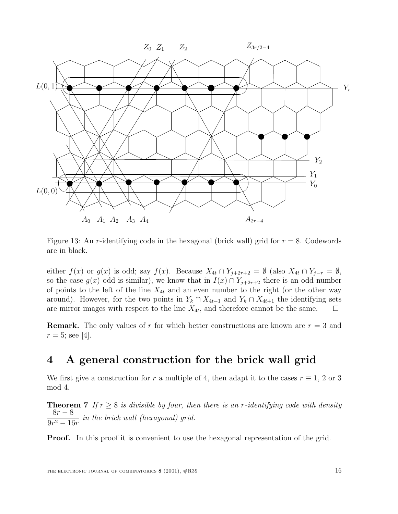

Figure 13: An r-identifying code in the hexagonal (brick wall) grid for  $r = 8$ . Codewords are in black.

either  $f(x)$  or  $g(x)$  is odd; say  $f(x)$ . Because  $X_{4t} \cap Y_{j+2r+2} = \emptyset$  (also  $X_{4t} \cap Y_{j-r} = \emptyset$ , so the case  $g(x)$  odd is similar), we know that in  $I(x) \cap Y_{j+2r+2}$  there is an odd number of points to the left of the line  $X_{4t}$  and an even number to the right (or the other way around). However, for the two points in  $Y_k \cap X_{4t-1}$  and  $Y_k \cap X_{4t+1}$  the identifying sets are mirror images with respect to the line  $X_{4t}$ , and therefore cannot be the same. are mirror images with respect to the line  $X_{4t}$ , and therefore cannot be the same.

**Remark.** The only values of r for which better constructions are known are  $r = 3$  and  $r = 5$ ; see [4].

# **4 A general construction for the brick wall grid**

We first give a construction for r a multiple of 4, then adapt it to the cases  $r \equiv 1, 2 \text{ or } 3$ mod 4.

**Theorem 7** If  $r \geq 8$  is divisible by four, then there is an r-identifying code with density  $8r - 8$  $\frac{67}{9r^2-16r}$  in the brick wall (hexagonal) grid.

**Proof.** In this proof it is convenient to use the hexagonal representation of the grid.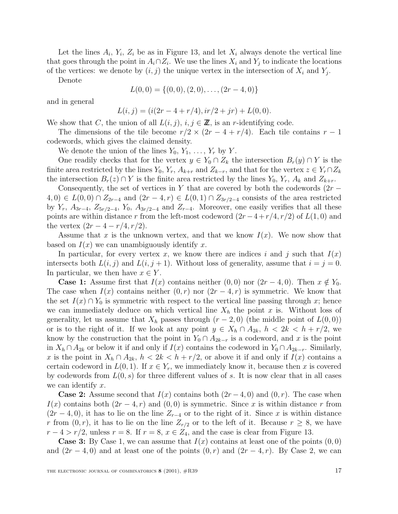Let the lines  $A_i$ ,  $Y_i$ ,  $Z_i$  be as in Figure 13, and let  $X_i$  always denote the vertical line that goes through the point in  $A_i \cap Z_i$ . We use the lines  $X_i$  and  $Y_j$  to indicate the locations of the vertices: we denote by  $(i, j)$  the unique vertex in the intersection of  $X_i$  and  $Y_j$ .

Denote

$$
L(0,0) = \{(0,0), (2,0), \ldots, (2r-4,0)\}
$$

and in general

$$
L(i,j) = (i(2r - 4 + r/4), ir/2 + jr) + L(0,0).
$$

We show that C, the union of all  $L(i, j)$ ,  $i, j \in \mathbb{Z}$ , is an r-identifying code.

The dimensions of the tile become  $r/2 \times (2r-4+r/4)$ . Each tile contains  $r-1$ codewords, which gives the claimed density.

We denote the union of the lines  $Y_0, Y_1, \ldots, Y_r$  by Y.

One readily checks that for the vertex  $y \in Y_0 \cap Z_k$  the intersection  $B_r(y) \cap Y$  is the finite area restricted by the lines  $Y_0$ ,  $Y_r$ ,  $A_{k+r}$  and  $Z_{k-r}$ , and that for the vertex  $z \in Y_r \cap Z_k$ the intersection  $B_r(z) \cap Y$  is the finite area restricted by the lines  $Y_0, Y_r, A_k$  and  $Z_{k+r}$ .

Consequently, the set of vertices in Y that are covered by both the codewords  $(2r (4,0) \in L(0,0) \cap Z_{2r-4}$  and  $(2r-4,r) \in L(0,1) \cap Z_{3r/2-4}$  consists of the area restricted by  $Y_r$ ,  $A_{3r-4}$ ,  $Z_{5r/2-4}$ ,  $Y_0$ ,  $A_{3r/2-4}$  and  $Z_{r-4}$ . Moreover, one easily verifies that all these points are within distance r from the left-most codeword  $(2r-4+r/4, r/2)$  of  $L(1,0)$  and the vertex  $(2r - 4 - r/4, r/2)$ .

Assume that x is the unknown vertex, and that we know  $I(x)$ . We now show that based on  $I(x)$  we can unambiguously identify x.

In particular, for every vertex x, we know there are indices i and j such that  $I(x)$ intersects both  $L(i, j)$  and  $L(i, j + 1)$ . Without loss of generality, assume that  $i = j = 0$ . In particular, we then have  $x \in Y$ .

**Case 1:** Assume first that  $I(x)$  contains neither  $(0,0)$  nor  $(2r-4,0)$ . Then  $x \notin Y_0$ . The case when  $I(x)$  contains neither  $(0, r)$  nor  $(2r - 4, r)$  is symmetric. We know that the set  $I(x) \cap Y_0$  is symmetric with respect to the vertical line passing through x; hence we can immediately deduce on which vertical line  $X_h$  the point x is. Without loss of generality, let us assume that  $X_h$  passes through  $(r-2,0)$  (the middle point of  $L(0,0)$ ) or is to the right of it. If we look at any point  $y \in X_h \cap A_{2k}$ ,  $h < 2k < h + r/2$ , we know by the construction that the point in  $Y_0 \cap A_{2k-r}$  is a codeword, and x is the point in  $X_h \cap A_{2k}$  or below it if and only if  $I(x)$  contains the codeword in  $Y_0 \cap A_{2k-r}$ . Similarly, x is the point in  $X_h \cap A_{2k}$ ,  $h < 2k < h + r/2$ , or above it if and only if  $I(x)$  contains a certain codeword in  $L(0, 1)$ . If  $x \in Y_r$ , we immediately know it, because then x is covered by codewords from  $L(0, s)$  for three different values of s. It is now clear that in all cases we can identify  $x$ .

**Case 2:** Assume second that  $I(x)$  contains both  $(2r-4, 0)$  and  $(0, r)$ . The case when  $I(x)$  contains both  $(2r-4, r)$  and  $(0, 0)$  is symmetric. Since x is within distance r from  $(2r-4, 0)$ , it has to lie on the line  $Z_{r-4}$  or to the right of it. Since x is within distance r from  $(0, r)$ , it has to lie on the line  $Z_{r/2}$  or to the left of it. Because  $r \geq 8$ , we have  $r-4 > r/2$ , unless  $r = 8$ . If  $r = 8$ ,  $x \in Z_4$ , and the case is clear from Figure 13.

**Case 3:** By Case 1, we can assume that  $I(x)$  contains at least one of the points  $(0,0)$ and  $(2r-4, 0)$  and at least one of the points  $(0, r)$  and  $(2r-4, r)$ . By Case 2, we can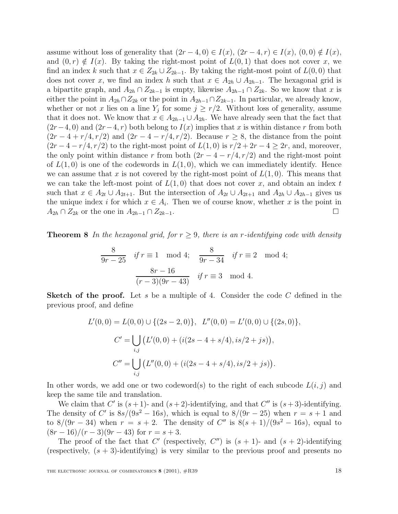assume without loss of generality that  $(2r-4, 0) \in I(x)$ ,  $(2r-4, r) \in I(x)$ ,  $(0, 0) \notin I(x)$ , and  $(0, r) \notin I(x)$ . By taking the right-most point of  $L(0, 1)$  that does not cover x, we find an index k such that  $x \in Z_{2k} \cup Z_{2k-1}$ . By taking the right-most point of  $L(0,0)$  that does not cover x, we find an index h such that  $x \in A_{2h} \cup A_{2h-1}$ . The hexagonal grid is a bipartite graph, and  $A_{2h} \cap Z_{2k-1}$  is empty, likewise  $A_{2h-1} \cap Z_{2k}$ . So we know that x is either the point in  $A_{2h} \cap Z_{2k}$  or the point in  $A_{2h-1} \cap Z_{2k-1}$ . In particular, we already know, whether or not x lies on a line  $Y_j$  for some  $j \geq r/2$ . Without loss of generality, assume that it does not. We know that  $x \in A_{2h-1} \cup A_{2h}$ . We have already seen that the fact that  $(2r-4, 0)$  and  $(2r-4, r)$  both belong to  $I(x)$  implies that x is within distance r from both  $(2r-4+r/4, r/2)$  and  $(2r-4-r/4, r/2)$ . Because  $r \geq 8$ , the distance from the point  $(2r-4-r/4, r/2)$  to the right-most point of  $L(1,0)$  is  $r/2+2r-4 \geq 2r$ , and, moreover, the only point within distance r from both  $(2r - 4 - r/4, r/2)$  and the right-most point of  $L(1,0)$  is one of the codewords in  $L(1,0)$ , which we can immediately identify. Hence we can assume that x is not covered by the right-most point of  $L(1,0)$ . This means that we can take the left-most point of  $L(1,0)$  that does not cover x, and obtain an index t such that  $x \in A_{2t} \cup A_{2t+1}$ . But the intersection of  $A_{2t} \cup A_{2t+1}$  and  $A_{2h} \cup A_{2h-1}$  gives us the unique index i for which  $x \in A_i$ . Then we of course know, whether x is the point in  $A_{2h} \cap Z_{2k}$  or the one in  $A_{2h-1} \cap Z_{2k-1}$ .

**Theorem 8** In the hexagonal grid, for  $r \geq 9$ , there is an r-identifying code with density

$$
\frac{8}{9r-25} \quad \text{if } r \equiv 1 \mod 4; \quad \frac{8}{9r-34} \quad \text{if } r \equiv 2 \mod 4; \\
 \frac{8r-16}{(r-3)(9r-43)} \quad \text{if } r \equiv 3 \mod 4.
$$

**Sketch of the proof.** Let s be a multiple of 4. Consider the code C defined in the previous proof, and define

$$
L'(0,0) = L(0,0) \cup \{(2s-2,0)\}, \quad L''(0,0) = L'(0,0) \cup \{(2s,0)\},
$$

$$
C' = \bigcup_{i,j} (L'(0,0) + (i(2s-4+s/4), is/2+js)),
$$

$$
C'' = \bigcup_{i,j} (L''(0,0) + (i(2s-4+s/4), is/2+js)).
$$

In other words, we add one or two codeword(s) to the right of each subcode  $L(i, j)$  and keep the same tile and translation.

We claim that C' is  $(s + 1)$ - and  $(s + 2)$ -identifying, and that C'' is  $(s + 3)$ -identifying. The density of C' is  $8s/(9s^2 - 16s)$ , which is equal to  $8/(9r - 25)$  when  $r = s + 1$  and to 8/(9r – 34) when  $r = s + 2$ . The density of C'' is  $8(s + 1)/(9s^2 - 16s)$ , equal to  $(8r-16)/(r-3)(9r-43)$  for  $r = s + 3$ .

The proof of the fact that C' (respectively,  $C''$ ) is  $(s + 1)$ - and  $(s + 2)$ -identifying (respectively,  $(s + 3)$ -identifying) is very similar to the previous proof and presents no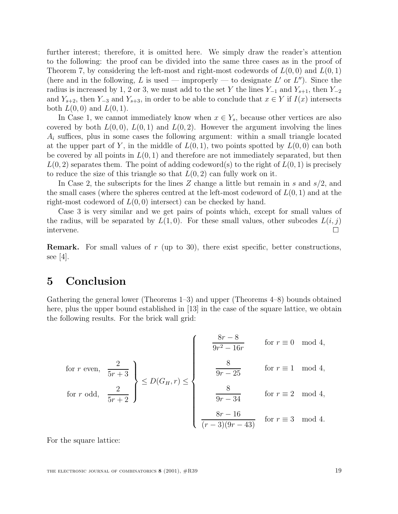further interest; therefore, it is omitted here. We simply draw the reader's attention to the following: the proof can be divided into the same three cases as in the proof of Theorem 7, by considering the left-most and right-most codewords of  $L(0,0)$  and  $L(0,1)$ (here and in the following, L is used — improperly — to designate L' or  $L''$ ). Since the radius is increased by 1, 2 or 3, we must add to the set Y the lines  $Y_{-1}$  and  $Y_{s+1}$ , then  $Y_{-2}$ and  $Y_{s+2}$ , then  $Y_{-3}$  and  $Y_{s+3}$ , in order to be able to conclude that  $x \in Y$  if  $I(x)$  intersects both  $L(0, 0)$  and  $L(0, 1)$ .

In Case 1, we cannot immediately know when  $x \in Y_s$ , because other vertices are also covered by both  $L(0,0), L(0,1)$  and  $L(0,2)$ . However the argument involving the lines  $A_i$  suffices, plus in some cases the following argument: within a small triangle located at the upper part of Y, in the middle of  $L(0,1)$ , two points spotted by  $L(0,0)$  can both be covered by all points in  $L(0, 1)$  and therefore are not immediately separated, but then  $L(0, 2)$  separates them. The point of adding codeword(s) to the right of  $L(0, 1)$  is precisely to reduce the size of this triangle so that  $L(0, 2)$  can fully work on it.

In Case 2, the subscripts for the lines Z change a little but remain in s and  $s/2$ , and the small cases (where the spheres centred at the left-most codeword of  $L(0, 1)$  and at the right-most codeword of  $L(0,0)$  intersect) can be checked by hand.

Case 3 is very similar and we get pairs of points which, except for small values of the radius, will be separated by  $L(1,0)$ . For these small values, other subcodes  $L(i, j)$ intervene.

**Remark.** For small values of r (up to 30), there exist specific, better constructions, see [4].

# **5 Conclusion**

Gathering the general lower (Theorems 1–3) and upper (Theorems 4–8) bounds obtained here, plus the upper bound established in [13] in the case of the square lattice, we obtain the following results. For the brick wall grid:

for 
$$
r
$$
 even,  $\frac{2}{5r+3}$   
\nfor  $r$  odd,  $\frac{2}{5r+2}$   
\n $\left(\begin{array}{ccc}\n\frac{8r-8}{9r^2-16r} & \text{for } r \equiv 0 \mod 4, \\
\frac{8}{9r-25} & \text{for } r \equiv 1 \mod 4, \\
\frac{8}{9r-34} & \text{for } r \equiv 2 \mod 4, \\
\frac{8r-16}{(r-3)(9r-43)} & \text{for } r \equiv 3 \mod 4.\n\end{array}\right)$ 

For the square lattice: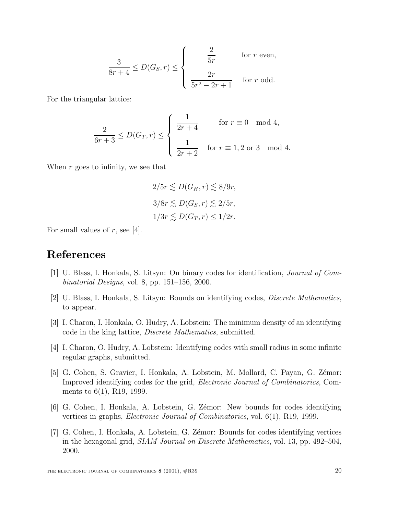$$
\frac{3}{8r+4} \le D(G_S, r) \le \begin{cases} \frac{2}{5r} & \text{for } r \text{ even,} \\ \frac{2r}{5r^2 - 2r + 1} & \text{for } r \text{ odd.} \end{cases}
$$

For the triangular lattice:

$$
\frac{2}{6r+3} \le D(G_T, r) \le \begin{cases} \frac{1}{2r+4} & \text{for } r \equiv 0 \mod 4, \\ \frac{1}{2r+2} & \text{for } r \equiv 1, 2 \text{ or } 3 \mod 4. \end{cases}
$$

When  $r$  goes to infinity, we see that

$$
2/5r \lesssim D(G_H, r) \lesssim 8/9r,
$$
  

$$
3/8r \lesssim D(G_S, r) \lesssim 2/5r,
$$
  

$$
1/3r \lesssim D(G_T, r) \le 1/2r.
$$

For small values of  $r$ , see [4].

# **References**

- [1] U. Blass, I. Honkala, S. Litsyn: On binary codes for identification, Journal of Combinatorial Designs, vol. 8, pp. 151–156, 2000.
- [2] U. Blass, I. Honkala, S. Litsyn: Bounds on identifying codes, Discrete Mathematics, to appear.
- [3] I. Charon, I. Honkala, O. Hudry, A. Lobstein: The minimum density of an identifying code in the king lattice, Discrete Mathematics, submitted.
- [4] I. Charon, O. Hudry, A. Lobstein: Identifying codes with small radius in some infinite regular graphs, submitted.
- [5] G. Cohen, S. Gravier, I. Honkala, A. Lobstein, M. Mollard, C. Payan, G. Zémor: Improved identifying codes for the grid, Electronic Journal of Combinatorics, Comments to 6(1), R19, 1999.
- [6] G. Cohen, I. Honkala, A. Lobstein, G. Zémor: New bounds for codes identifying vertices in graphs, Electronic Journal of Combinatorics, vol. 6(1), R19, 1999.
- [7] G. Cohen, I. Honkala, A. Lobstein, G. Z´emor: Bounds for codes identifying vertices in the hexagonal grid, SIAM Journal on Discrete Mathematics, vol. 13, pp. 492–504, 2000.